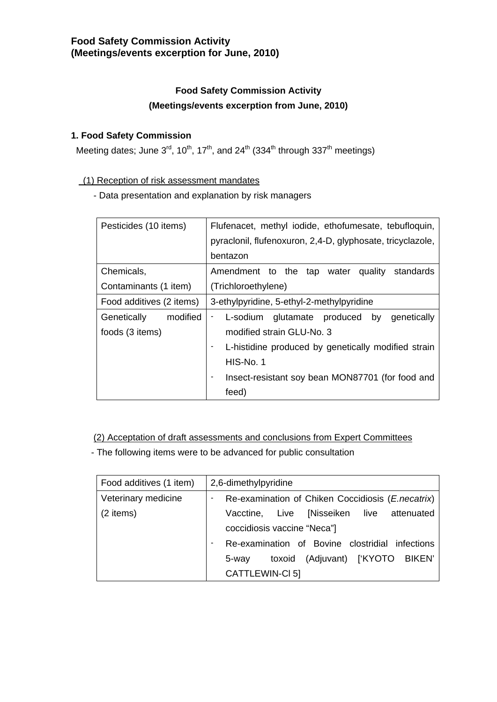### **1. Food Safety Commission**

Meeting dates; June  $3^{rd}$ , 10<sup>th</sup>, 17<sup>th</sup>, and 24<sup>th</sup> (334<sup>th</sup> through 337<sup>th</sup> meetings)

#### (1) Reception of risk assessment mandates

- Data presentation and explanation by risk managers

| Pesticides (10 items)                        | Flufenacet, methyl iodide, ethofumesate, tebufloquin,<br>pyraclonil, flufenoxuron, 2,4-D, glyphosate, tricyclazole, |  |  |  |
|----------------------------------------------|---------------------------------------------------------------------------------------------------------------------|--|--|--|
|                                              | bentazon                                                                                                            |  |  |  |
| Chemicals,                                   | Amendment to the tap water<br>quality<br>standards                                                                  |  |  |  |
| Contaminants (1 item)                        | (Trichloroethylene)                                                                                                 |  |  |  |
| Food additives (2 items)                     | 3-ethylpyridine, 5-ethyl-2-methylpyridine                                                                           |  |  |  |
| Genetically<br>modified                      | genetically<br>glutamate produced by<br>L-sodium<br>۰                                                               |  |  |  |
| modified strain GLU-No. 3<br>foods (3 items) |                                                                                                                     |  |  |  |
|                                              | L-histidine produced by genetically modified strain<br>$\blacksquare$                                               |  |  |  |
|                                              | HIS-No. 1                                                                                                           |  |  |  |
|                                              | Insect-resistant soy bean MON87701 (for food and                                                                    |  |  |  |
|                                              | feed)                                                                                                               |  |  |  |

(2) Acceptation of draft assessments and conclusions from Expert Committees

- The following items were to be advanced for public consultation

| Food additives (1 item) | 2,6-dimethylpyridine                                              |  |  |  |
|-------------------------|-------------------------------------------------------------------|--|--|--|
| Veterinary medicine     | Re-examination of Chiken Coccidiosis ( <i>E. necatrix</i> )<br>-  |  |  |  |
| (2 items)               | Vacctine, Live [Nisseiken live attenuated                         |  |  |  |
|                         | coccidiosis vaccine "Neca"]                                       |  |  |  |
|                         | Re-examination of Bovine clostridial infections<br>$\blacksquare$ |  |  |  |
|                         | toxoid (Adjuvant) ['KYOTO BIKEN'<br>5-way                         |  |  |  |
|                         | CATTLEWIN-CI 5]                                                   |  |  |  |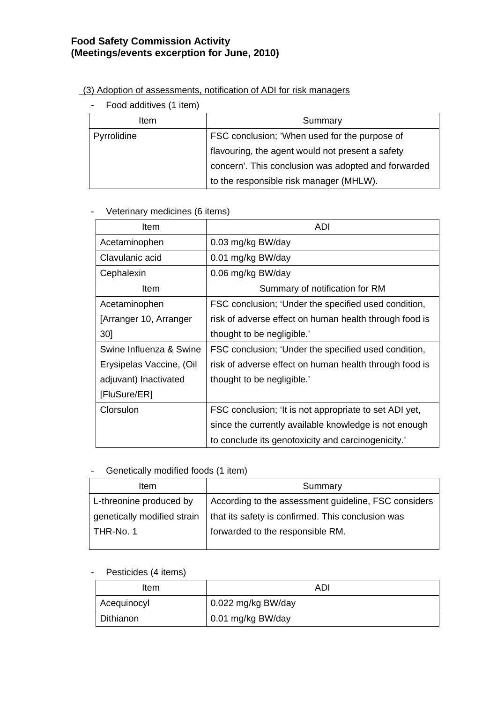## (3) Adoption of assessments, notification of ADI for risk managers

- Food additives (1 item)

| Item        | Summary                                             |
|-------------|-----------------------------------------------------|
| Pyrrolidine | FSC conclusion; 'When used for the purpose of       |
|             | flavouring, the agent would not present a safety    |
|             | concern'. This conclusion was adopted and forwarded |
|             | to the responsible risk manager (MHLW).             |

#### - Veterinary medicines (6 items)

| Item                     | <b>ADI</b>                                             |
|--------------------------|--------------------------------------------------------|
| Acetaminophen            | 0.03 mg/kg BW/day                                      |
| Clavulanic acid          | 0.01 mg/kg BW/day                                      |
| Cephalexin               | 0.06 mg/kg BW/day                                      |
| Item                     | Summary of notification for RM                         |
| Acetaminophen            | FSC conclusion; 'Under the specified used condition,   |
| [Arranger 10, Arranger   | risk of adverse effect on human health through food is |
| 30]                      | thought to be negligible.'                             |
| Swine Influenza & Swine  | FSC conclusion; 'Under the specified used condition,   |
| Erysipelas Vaccine, (Oil | risk of adverse effect on human health through food is |
| adjuvant) Inactivated    | thought to be negligible.'                             |
| [FluSure/ER]             |                                                        |
| Clorsulon                | FSC conclusion; 'It is not appropriate to set ADI yet, |
|                          | since the currently available knowledge is not enough  |
|                          | to conclude its genotoxicity and carcinogenicity.'     |

#### - Genetically modified foods (1 item)

| <b>Item</b>                 | Summary                                              |
|-----------------------------|------------------------------------------------------|
| L-threonine produced by     | According to the assessment guideline, FSC considers |
| genetically modified strain | that its safety is confirmed. This conclusion was    |
| l THR-No. 1                 | forwarded to the responsible RM.                     |
|                             |                                                      |

## - Pesticides (4 items)

| Item        | ADI                |
|-------------|--------------------|
| Acequinocyl | 0.022 mg/kg BW/day |
| Dithianon   | 0.01 mg/kg BW/day  |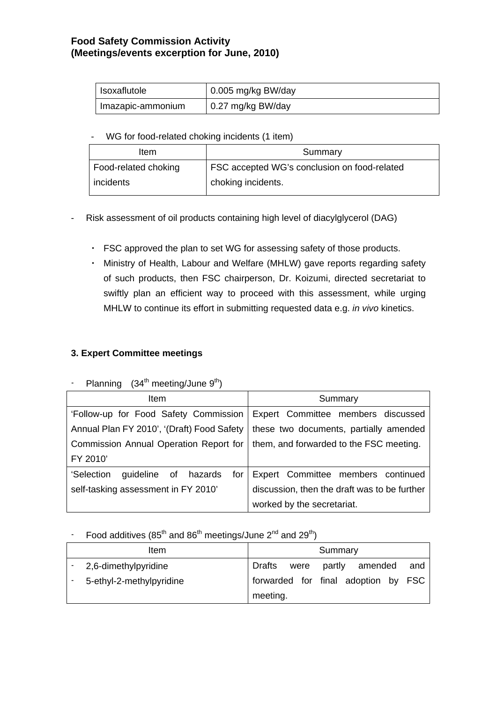| Isoxaflutole      | $\vert$ 0.005 mg/kg BW/day |
|-------------------|----------------------------|
| Imazapic-ammonium | $\vert$ 0.27 mg/kg BW/day  |

- WG for food-related choking incidents (1 item)

| Item                 | Summary                                      |
|----------------------|----------------------------------------------|
| Food-related choking | FSC accepted WG's conclusion on food-related |
| incidents            | choking incidents.                           |

- Risk assessment of oil products containing high level of diacylglycerol (DAG)
	- ・ FSC approved the plan to set WG for assessing safety of those products.
	- ・ Ministry of Health, Labour and Welfare (MHLW) gave reports regarding safety of such products, then FSC chairperson, Dr. Koizumi, directed secretariat to swiftly plan an efficient way to proceed with this assessment, while urging MHLW to continue its effort in submitting requested data e.g. *in vivo* kinetics.

### **3. Expert Committee meetings**

# - Planning  $(34<sup>th</sup> meeting/June 9<sup>th</sup>)$

| Item                                       | Summary                                      |  |  |  |
|--------------------------------------------|----------------------------------------------|--|--|--|
| 'Follow-up for Food Safety Commission      | Expert Committee members discussed           |  |  |  |
| Annual Plan FY 2010', '(Draft) Food Safety | these two documents, partially amended       |  |  |  |
| Commission Annual Operation Report for     | them, and forwarded to the FSC meeting.      |  |  |  |
| FY 2010'                                   |                                              |  |  |  |
| 'Selection<br>quideline of hazards         | for Expert Committee members continued       |  |  |  |
| self-tasking assessment in FY 2010'        | discussion, then the draft was to be further |  |  |  |
|                                            | worked by the secretariat.                   |  |  |  |

## - Food additives  $(85<sup>th</sup>$  and  $86<sup>th</sup>$  meetings/June  $2<sup>nd</sup>$  and  $29<sup>th</sup>$ )

| Item                     |                                     |  | Summary |                     |  |     |
|--------------------------|-------------------------------------|--|---------|---------------------|--|-----|
| 2,6-dimethylpyridine     | Drafts                              |  |         | were partly amended |  | and |
| 5-ethyl-2-methylpyridine | forwarded for final adoption by FSC |  |         |                     |  |     |
|                          | meeting.                            |  |         |                     |  |     |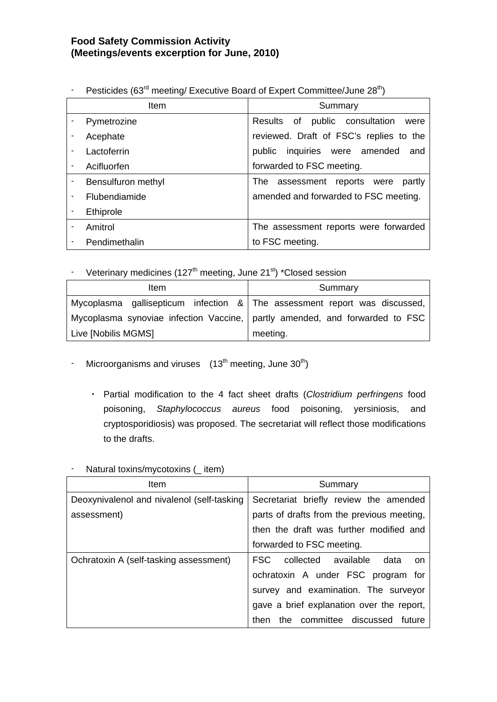|                          | I Concided foot incoming Executive Dodin of Expert Committee/Julie 20 T |                                          |
|--------------------------|-------------------------------------------------------------------------|------------------------------------------|
|                          | <b>Item</b>                                                             | Summary                                  |
|                          | Pymetrozine                                                             | Results of public consultation<br>were   |
|                          | Acephate                                                                | reviewed. Draft of FSC's replies to the  |
| $\blacksquare$           | Lactoferrin                                                             | public inquiries were amended<br>and     |
|                          | Acifluorfen                                                             | forwarded to FSC meeting.                |
|                          | Bensulfuron methyl                                                      | assessment reports were<br>partly<br>The |
| $\blacksquare$           | Flubendiamide                                                           | amended and forwarded to FSC meeting.    |
| $\blacksquare$           | Ethiprole                                                               |                                          |
| $\blacksquare$           | Amitrol                                                                 | The assessment reports were forwarded    |
| $\overline{\phantom{a}}$ | Pendimethalin                                                           | to FSC meeting.                          |

- Pesticides (63<sup>rd</sup> meeting/ Executive Board of Expert Committee/June 28<sup>th</sup>)

- Veterinary medicines (127<sup>th</sup> meeting, June 21<sup>st</sup>) \*Closed session

| Item                                                                          | Summary                                                                      |
|-------------------------------------------------------------------------------|------------------------------------------------------------------------------|
|                                                                               | Mycoplasma gallisepticum infection $\&$ The assessment report was discussed, |
| Mycoplasma synoviae infection Vaccine,   partly amended, and forwarded to FSC |                                                                              |
| Live [Nobilis MGMS]                                                           | meeting.                                                                     |

- Microorganisms and viruses  $(13<sup>th</sup> \text{ meeting}, \text{June } 30<sup>th</sup>)$ 
	- ・ Partial modification to the 4 fact sheet drafts (*Clostridium perfringens* food poisoning, *Staphylococcus aureus* food poisoning, yersiniosis, and cryptosporidiosis) was proposed. The secretariat will reflect those modifications to the drafts.

| Item                                       | Summary                                    |  |  |  |  |  |  |
|--------------------------------------------|--------------------------------------------|--|--|--|--|--|--|
| Deoxynivalenol and nivalenol (self-tasking | Secretariat briefly review the amended     |  |  |  |  |  |  |
| assessment)                                | parts of drafts from the previous meeting, |  |  |  |  |  |  |
|                                            | then the draft was further modified and    |  |  |  |  |  |  |
|                                            | forwarded to FSC meeting.                  |  |  |  |  |  |  |
| Ochratoxin A (self-tasking assessment)     | FSC collected available<br>data<br>on      |  |  |  |  |  |  |
|                                            | ochratoxin A under FSC program for         |  |  |  |  |  |  |
|                                            | survey and examination. The surveyor       |  |  |  |  |  |  |
|                                            | gave a brief explanation over the report,  |  |  |  |  |  |  |
|                                            | the committee discussed future<br>then     |  |  |  |  |  |  |

Natural toxins/mycotoxins ( \_ item)